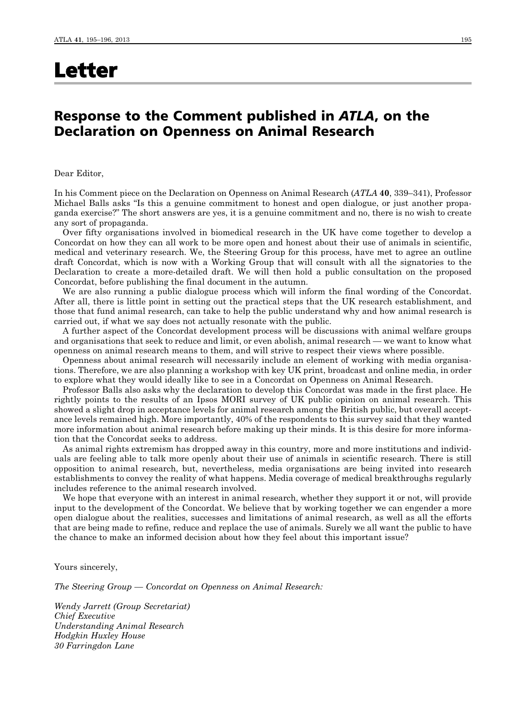## Letter

## Response to the Comment published in *ATLA*, on the Declaration on Openness on Animal Research

Dear Editor,

In his Comment piece on the Declaration on Openness on Animal Research (*ATLA* 40, 339–341), Professor Michael Balls asks "Is this a genuine commitment to honest and open dialogue, or just another propaganda exercise?" The short answers are yes, it is a genuine commitment and no, there is no wish to create any sort of propaganda.

Over fifty organisations involved in biomedical research in the UK have come together to develop a Concordat on how they can all work to be more open and honest about their use of animals in scientific, medical and veterinary research. We, the Steering Group for this process, have met to agree an outline draft Concordat, which is now with a Working Group that will consult with all the signatories to the Declaration to create a more-detailed draft. We will then hold a public consultation on the proposed Concordat, before publishing the final document in the autumn.

We are also running a public dialogue process which will inform the final wording of the Concordat. After all, there is little point in setting out the practical steps that the UK research establishment, and those that fund animal research, can take to help the public understand why and how animal research is carried out, if what we say does not actually resonate with the public.

A further aspect of the Concordat development process will be discussions with animal welfare groups and organisations that seek to reduce and limit, or even abolish, animal research — we want to know what openness on animal research means to them, and will strive to respect their views where possible.

Openness about animal research will necessarily include an element of working with media organisations. Therefore, we are also planning a workshop with key UK print, broadcast and online media, in order to explore what they would ideally like to see in a Concordat on Openness on Animal Research.

Professor Balls also asks why the declaration to develop this Concordat was made in the first place. He rightly points to the results of an Ipsos MORI survey of UK public opinion on animal research. This showed a slight drop in acceptance levels for animal research among the British public, but overall acceptance levels remained high. More importantly, 40% of the respondents to this survey said that they wanted more information about animal research before making up their minds. It is this desire for more information that the Concordat seeks to address.

As animal rights extremism has dropped away in this country, more and more institutions and individuals are feeling able to talk more openly about their use of animals in scientific research. There is still opposition to animal research, but, nevertheless, media organisations are being invited into research establishments to convey the reality of what happens. Media coverage of medical breakthroughs regularly includes reference to the animal research involved.

We hope that everyone with an interest in animal research, whether they support it or not, will provide input to the development of the Concordat. We believe that by working together we can engender a more open dialogue about the realities, successes and limitations of animal research, as well as all the efforts that are being made to refine, reduce and replace the use of animals. Surely we all want the public to have the chance to make an informed decision about how they feel about this important issue?

Yours sincerely,

*The Steering Group — Concordat on Openness on Animal Research:*

*Wendy Jarrett (Group Secretariat) Chief Executive Understanding Animal Research Hodgkin Huxley House 30 Farringdon Lane*